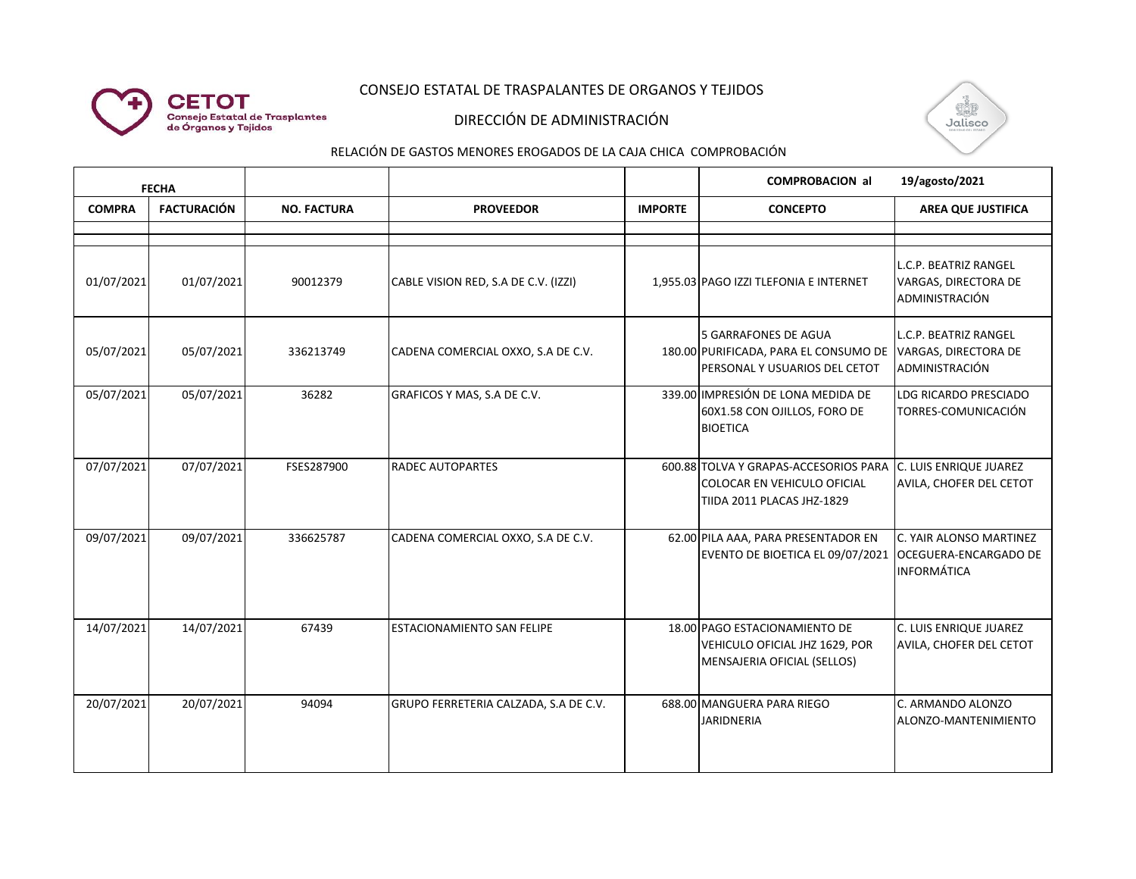# CONSEJO ESTATAL DE TRASPALANTES DE ORGANOS Y TEJIDOS



**CETOT** 

**Consejo Estatal de Trasplantes<br>de Órganos y Tejidos** 



#### RELACIÓN DE GASTOS MENORES EROGADOS DE LA CAJA CHICA COMPROBACIÓN

| <b>FECHA</b>  |                    |                    |                                       |                | <b>COMPROBACION al</b>                                                                             | 19/agosto/2021                                                                |
|---------------|--------------------|--------------------|---------------------------------------|----------------|----------------------------------------------------------------------------------------------------|-------------------------------------------------------------------------------|
| <b>COMPRA</b> | <b>FACTURACIÓN</b> | <b>NO. FACTURA</b> | <b>PROVEEDOR</b>                      | <b>IMPORTE</b> | <b>CONCEPTO</b>                                                                                    | <b>AREA QUE JUSTIFICA</b>                                                     |
|               |                    |                    |                                       |                |                                                                                                    |                                                                               |
| 01/07/2021    | 01/07/2021         | 90012379           | CABLE VISION RED, S.A DE C.V. (IZZI)  |                | 1,955.03 PAGO IZZI TLEFONIA E INTERNET                                                             | L.C.P. BEATRIZ RANGEL<br>VARGAS, DIRECTORA DE<br>ADMINISTRACIÓN               |
| 05/07/2021    | 05/07/2021         | 336213749          | CADENA COMERCIAL OXXO, S.A DE C.V.    |                | 5 GARRAFONES DE AGUA<br>180.00 PURIFICADA, PARA EL CONSUMO DE<br>PERSONAL Y USUARIOS DEL CETOT     | L.C.P. BEATRIZ RANGEL<br>VARGAS, DIRECTORA DE<br>ADMINISTRACIÓN               |
| 05/07/2021    | 05/07/2021         | 36282              | GRAFICOS Y MAS, S.A DE C.V.           |                | 339.00 IMPRESIÓN DE LONA MEDIDA DE<br>60X1.58 CON OJILLOS, FORO DE<br><b>BIOETICA</b>              | LDG RICARDO PRESCIADO<br>TORRES-COMUNICACIÓN                                  |
| 07/07/2021    | 07/07/2021         | FSES287900         | <b>RADEC AUTOPARTES</b>               |                | 600.88 TOLVA Y GRAPAS-ACCESORIOS PARA<br>COLOCAR EN VEHICULO OFICIAL<br>TIIDA 2011 PLACAS JHZ-1829 | C. LUIS ENRIQUE JUAREZ<br>AVILA, CHOFER DEL CETOT                             |
| 09/07/2021    | 09/07/2021         | 336625787          | CADENA COMERCIAL OXXO, S.A DE C.V.    |                | 62.00 PILA AAA, PARA PRESENTADOR EN<br>EVENTO DE BIOETICA EL 09/07/2021                            | C. YAIR ALONSO MARTINEZ<br><b>OCEGUERA-ENCARGADO DE</b><br><b>INFORMÁTICA</b> |
| 14/07/2021    | 14/07/2021         | 67439              | ESTACIONAMIENTO SAN FELIPE            |                | 18.00 PAGO ESTACIONAMIENTO DE<br>VEHICULO OFICIAL JHZ 1629, POR<br>MENSAJERIA OFICIAL (SELLOS)     | C. LUIS ENRIQUE JUAREZ<br>AVILA, CHOFER DEL CETOT                             |
| 20/07/2021    | 20/07/2021         | 94094              | GRUPO FERRETERIA CALZADA, S.A DE C.V. |                | 688.00 MANGUERA PARA RIEGO<br><b>JARIDNERIA</b>                                                    | C. ARMANDO ALONZO<br>ALONZO-MANTENIMIENTO                                     |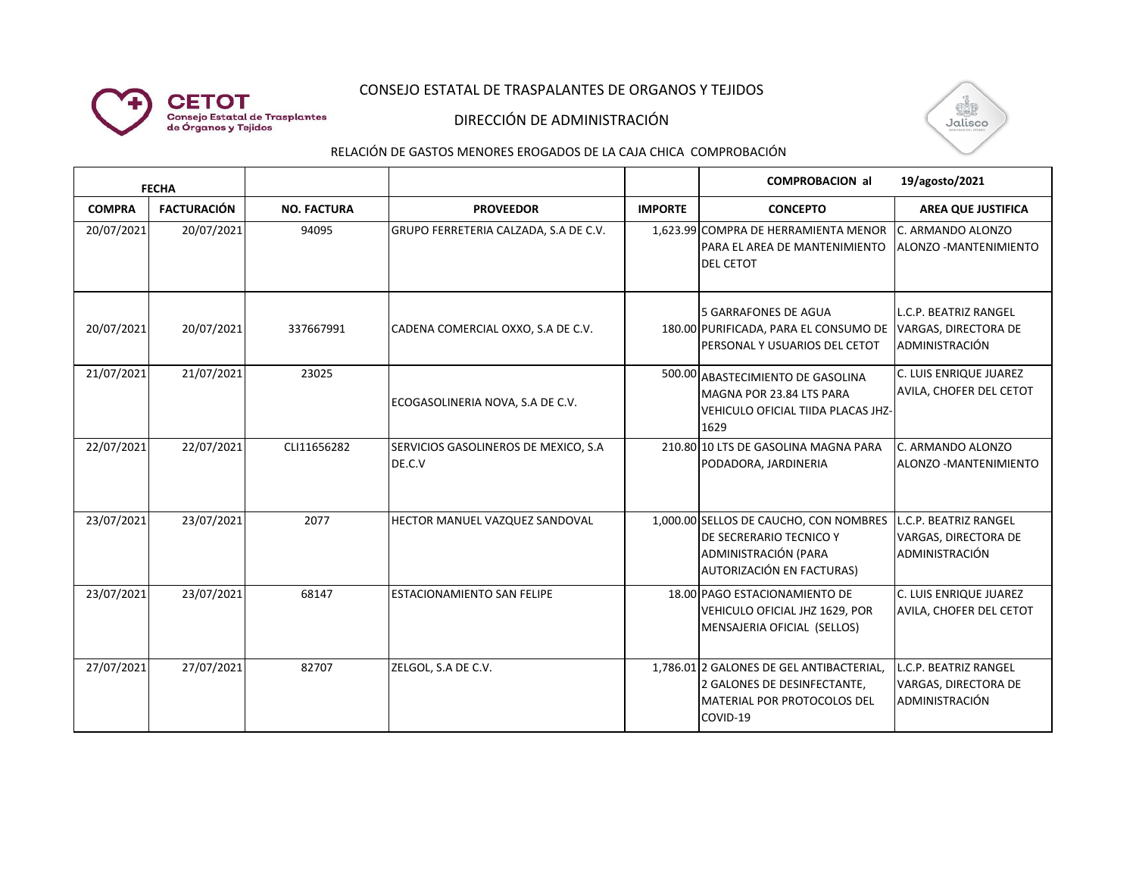# CONSEJO ESTATAL DE TRASPALANTES DE ORGANOS Y TEJIDOS



### DIRECCIÓN DE ADMINISTRACIÓN



#### RELACIÓN DE GASTOS MENORES EROGADOS DE LA CAJA CHICA COMPROBACIÓN

| <b>FECHA</b>  |                    |                    |                                                |                | <b>COMPROBACION al</b>                                                                                                 | 19/agosto/2021                                                  |
|---------------|--------------------|--------------------|------------------------------------------------|----------------|------------------------------------------------------------------------------------------------------------------------|-----------------------------------------------------------------|
| <b>COMPRA</b> | <b>FACTURACIÓN</b> | <b>NO. FACTURA</b> | <b>PROVEEDOR</b>                               | <b>IMPORTE</b> | <b>CONCEPTO</b>                                                                                                        | <b>AREA QUE JUSTIFICA</b>                                       |
| 20/07/2021    | 20/07/2021         | 94095              | GRUPO FERRETERIA CALZADA, S.A DE C.V.          |                | 1,623.99 COMPRA DE HERRAMIENTA MENOR<br>PARA EL AREA DE MANTENIMIENTO<br><b>DEL CETOT</b>                              | C. ARMANDO ALONZO<br>ALONZO - MANTENIMIENTO                     |
| 20/07/2021    | 20/07/2021         | 337667991          | CADENA COMERCIAL OXXO, S.A DE C.V.             |                | <b>5 GARRAFONES DE AGUA</b><br>180.00 PURIFICADA, PARA EL CONSUMO DE<br>PERSONAL Y USUARIOS DEL CETOT                  | L.C.P. BEATRIZ RANGEL<br>VARGAS, DIRECTORA DE<br>ADMINISTRACIÓN |
| 21/07/2021    | 21/07/2021         | 23025              | ECOGASOLINERIA NOVA, S.A DE C.V.               |                | 500.00 ABASTECIMIENTO DE GASOLINA<br>MAGNA POR 23.84 LTS PARA<br>VEHICULO OFICIAL TIIDA PLACAS JHZ-<br>1629            | C. LUIS ENRIQUE JUAREZ<br>AVILA, CHOFER DEL CETOT               |
| 22/07/2021    | 22/07/2021         | CLI11656282        | SERVICIOS GASOLINEROS DE MEXICO, S.A<br>DE.C.V |                | 210.80 10 LTS DE GASOLINA MAGNA PARA<br>PODADORA, JARDINERIA                                                           | C. ARMANDO ALONZO<br>ALONZO - MANTENIMIENTO                     |
| 23/07/2021    | 23/07/2021         | 2077               | HECTOR MANUEL VAZQUEZ SANDOVAL                 |                | 1,000.00 SELLOS DE CAUCHO, CON NOMBRES<br>DE SECRERARIO TECNICO Y<br>ADMINISTRACIÓN (PARA<br>AUTORIZACIÓN EN FACTURAS) | L.C.P. BEATRIZ RANGEL<br>VARGAS, DIRECTORA DE<br>ADMINISTRACIÓN |
| 23/07/2021    | 23/07/2021         | 68147              | ESTACIONAMIENTO SAN FELIPE                     |                | 18.00 PAGO ESTACIONAMIENTO DE<br>VEHICULO OFICIAL JHZ 1629, POR<br>MENSAJERIA OFICIAL (SELLOS)                         | C. LUIS ENRIQUE JUAREZ<br>AVILA, CHOFER DEL CETOT               |
| 27/07/2021    | 27/07/2021         | 82707              | ZELGOL, S.A DE C.V.                            |                | 1,786.01 2 GALONES DE GEL ANTIBACTERIAL,<br>2 GALONES DE DESINFECTANTE,<br>MATERIAL POR PROTOCOLOS DEL<br>COVID-19     | L.C.P. BEATRIZ RANGEL<br>VARGAS, DIRECTORA DE<br>ADMINISTRACIÓN |